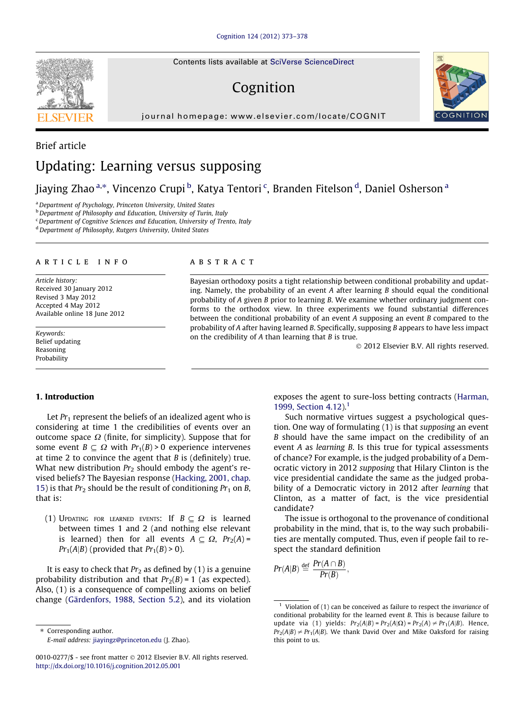Contents lists available at [SciVerse ScienceDirect](http://www.sciencedirect.com/science/journal/00100277)

# Cognition



journal homepage: [www.elsevier.com/locate/COGNIT](http://www.elsevier.com/locate/COGNIT)

## Brief article Updating: Learning versus supposing

Jiaying Zhao <sup>a,</sup>\*, Vincenzo Crupi <sup>b</sup>, Katya Tentori <sup>c</sup>, Branden Fitelson <sup>d</sup>, Daniel Osherson <sup>a</sup>

<sup>a</sup> Department of Psychology, Princeton University, United States

**b** Department of Philosophy and Education, University of Turin, Italy

 $\epsilon$  Department of Cognitive Sciences and Education, University of Trento, Italy

<sup>d</sup> Department of Philosophy, Rutgers University, United States

## article info

Article history: Received 30 January 2012 Revised 3 May 2012 Accepted 4 May 2012 Available online 18 June 2012

Keywords: Belief updating Reasoning Probability

## ABSTRACT

Bayesian orthodoxy posits a tight relationship between conditional probability and updating. Namely, the probability of an event  $A$  after learning  $B$  should equal the conditional probability of  $A$  given  $B$  prior to learning  $B$ . We examine whether ordinary judgment conforms to the orthodox view. In three experiments we found substantial differences between the conditional probability of an event  $A$  supposing an event  $B$  compared to the probability of A after having learned B. Specifically, supposing B appears to have less impact on the credibility of  $A$  than learning that  $B$  is true.

- 2012 Elsevier B.V. All rights reserved.

## 1. Introduction

Let  $Pr_1$  represent the beliefs of an idealized agent who is considering at time 1 the credibilities of events over an outcome space  $\Omega$  (finite, for simplicity). Suppose that for some event  $B \subseteq \Omega$  with  $Pr_1(B) > 0$  experience intervenes at time 2 to convince the agent that  $B$  is (definitely) true. What new distribution  $Pr<sub>2</sub>$  should embody the agent's revised beliefs? The Bayesian response [\(Hacking, 2001, chap.](#page-5-0) [15](#page-5-0)) is that  $Pr_2$  should be the result of conditioning  $Pr_1$  on B, that is:

(1) UPDATING FOR LEARNED EVENTS: If  $B \subset \Omega$  is learned between times 1 and 2 (and nothing else relevant is learned) then for all events  $A \subseteq \Omega$ ,  $Pr_2(A) =$  $Pr<sub>1</sub>(A|B)$  (provided that  $Pr<sub>1</sub>(B) > 0$ ).

It is easy to check that  $Pr_2$  as defined by (1) is a genuine probability distribution and that  $Pr_2(B) = 1$  (as expected). Also, (1) is a consequence of compelling axioms on belief change [\(Gärdenfors, 1988, Section 5.2](#page-5-0)), and its violation

⇑ Corresponding author. E-mail address: [jiayingz@princeton.edu](mailto:jiayingz@princeton.edu) (J. Zhao). exposes the agent to sure-loss betting contracts ([Harman,](#page-5-0) 1999, Section  $4.12$ ).<sup>1</sup>

Such normative virtues suggest a psychological question. One way of formulating (1) is that supposing an event B should have the same impact on the credibility of an event A as learning B. Is this true for typical assessments of chance? For example, is the judged probability of a Democratic victory in 2012 supposing that Hilary Clinton is the vice presidential candidate the same as the judged probability of a Democratic victory in 2012 after learning that Clinton, as a matter of fact, is the vice presidential candidate?

The issue is orthogonal to the provenance of conditional probability in the mind, that is, to the way such probabilities are mentally computed. Thus, even if people fail to respect the standard definition

$$
Pr(A|B) \stackrel{\text{def}}{=} \frac{Pr(A \cap B)}{Pr(B)},
$$



<sup>0010-0277/\$ -</sup> see front matter © 2012 Elsevier B.V. All rights reserved. <http://dx.doi.org/10.1016/j.cognition.2012.05.001>

<sup>&</sup>lt;sup>1</sup> Violation of (1) can be conceived as failure to respect the *invariance* of conditional probability for the learned event B. This is because failure to update via (1) yields:  $Pr_2(A|B) = Pr_2(A|\Omega) = Pr_2(A) \neq Pr_1(A|B)$ . Hence,  $Pr_2(A|B) \neq Pr_1(A|B)$ . We thank David Over and Mike Oaksford for raising this point to us.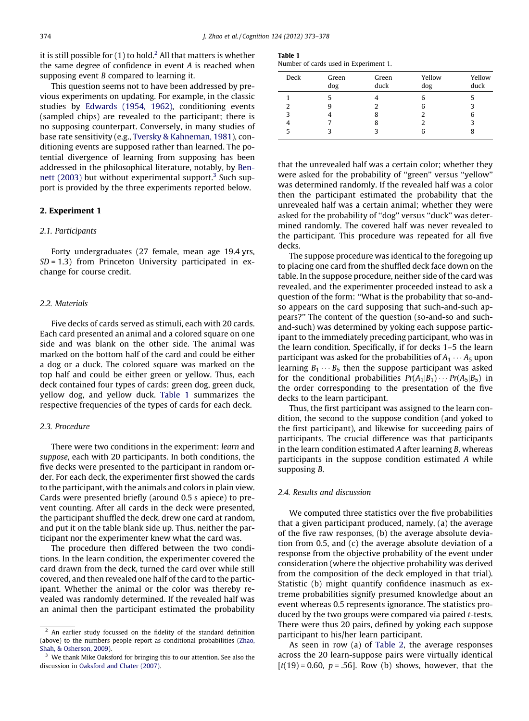<span id="page-1-0"></span>it is still possible for  $(1)$  to hold.<sup>2</sup> All that matters is whether the same degree of confidence in event A is reached when supposing event B compared to learning it.

This question seems not to have been addressed by previous experiments on updating. For example, in the classic studies by [Edwards \(1954, 1962\)](#page-5-0), conditioning events (sampled chips) are revealed to the participant; there is no supposing counterpart. Conversely, in many studies of base rate sensitivity (e.g., [Tversky & Kahneman, 1981\)](#page-5-0), conditioning events are supposed rather than learned. The potential divergence of learning from supposing has been addressed in the philosophical literature, notably, by [Ben](#page-5-0)[nett \(2003\)](#page-5-0) but without experimental support.<sup>3</sup> Such support is provided by the three experiments reported below.

## 2. Experiment 1

## 2.1. Participants

Forty undergraduates (27 female, mean age 19.4 yrs,  $SD = 1.3$ ) from Princeton University participated in exchange for course credit.

## 2.2. Materials

Five decks of cards served as stimuli, each with 20 cards. Each card presented an animal and a colored square on one side and was blank on the other side. The animal was marked on the bottom half of the card and could be either a dog or a duck. The colored square was marked on the top half and could be either green or yellow. Thus, each deck contained four types of cards: green dog, green duck, yellow dog, and yellow duck. Table 1 summarizes the respective frequencies of the types of cards for each deck.

## 2.3. Procedure

There were two conditions in the experiment: learn and suppose, each with 20 participants. In both conditions, the five decks were presented to the participant in random order. For each deck, the experimenter first showed the cards to the participant, with the animals and colors in plain view. Cards were presented briefly (around 0.5 s apiece) to prevent counting. After all cards in the deck were presented, the participant shuffled the deck, drew one card at random, and put it on the table blank side up. Thus, neither the participant nor the experimenter knew what the card was.

The procedure then differed between the two conditions. In the learn condition, the experimenter covered the card drawn from the deck, turned the card over while still covered, and then revealed one half of the card to the participant. Whether the animal or the color was thereby revealed was randomly determined. If the revealed half was an animal then the participant estimated the probability

| n<br>Ш |  |
|--------|--|
|--------|--|

Number of cards used in Experiment 1.

| Deck | Green<br>dog | Green<br>duck | Yellow<br>dog | Yellow<br>duck |
|------|--------------|---------------|---------------|----------------|
| 3    | q            | 8             | 6<br>6<br>2   | 5<br>3<br>6    |
|      |              | 8             | 6             | 3              |

that the unrevealed half was a certain color; whether they were asked for the probability of ''green'' versus ''yellow'' was determined randomly. If the revealed half was a color then the participant estimated the probability that the unrevealed half was a certain animal; whether they were asked for the probability of ''dog'' versus ''duck'' was determined randomly. The covered half was never revealed to the participant. This procedure was repeated for all five decks.

The suppose procedure was identical to the foregoing up to placing one card from the shuffled deck face down on the table. In the suppose procedure, neither side of the card was revealed, and the experimenter proceeded instead to ask a question of the form: ''What is the probability that so-andso appears on the card supposing that such-and-such appears?'' The content of the question (so-and-so and suchand-such) was determined by yoking each suppose participant to the immediately preceding participant, who was in the learn condition. Specifically, if for decks 1–5 the learn participant was asked for the probabilities of  $A_1 \cdots A_5$  upon learning  $B_1 \cdots B_5$  then the suppose participant was asked for the conditional probabilities  $Pr(A_1|B_1) \cdots Pr(A_5|B_5)$  in the order corresponding to the presentation of the five decks to the learn participant.

Thus, the first participant was assigned to the learn condition, the second to the suppose condition (and yoked to the first participant), and likewise for succeeding pairs of participants. The crucial difference was that participants in the learn condition estimated A after learning B, whereas participants in the suppose condition estimated A while supposing B.

## 2.4. Results and discussion

We computed three statistics over the five probabilities that a given participant produced, namely, (a) the average of the five raw responses, (b) the average absolute deviation from 0.5, and (c) the average absolute deviation of a response from the objective probability of the event under consideration (where the objective probability was derived from the composition of the deck employed in that trial). Statistic (b) might quantify confidence inasmuch as extreme probabilities signify presumed knowledge about an event whereas 0.5 represents ignorance. The statistics produced by the two groups were compared via paired t-tests. There were thus 20 pairs, defined by yoking each suppose participant to his/her learn participant.

As seen in row (a) of [Table 2,](#page-2-0) the average responses across the 20 learn-suppose pairs were virtually identical  $[t(19) = 0.60, p = .56]$ . Row (b) shows, however, that the

 $2$  An earlier study focussed on the fidelity of the standard definition (above) to the numbers people report as conditional probabilities ([Zhao,](#page-5-0) [Shah, & Osherson, 2009\)](#page-5-0).

<sup>&</sup>lt;sup>3</sup> We thank Mike Oaksford for bringing this to our attention. See also the discussion in [Oaksford and Chater \(2007\)](#page-5-0).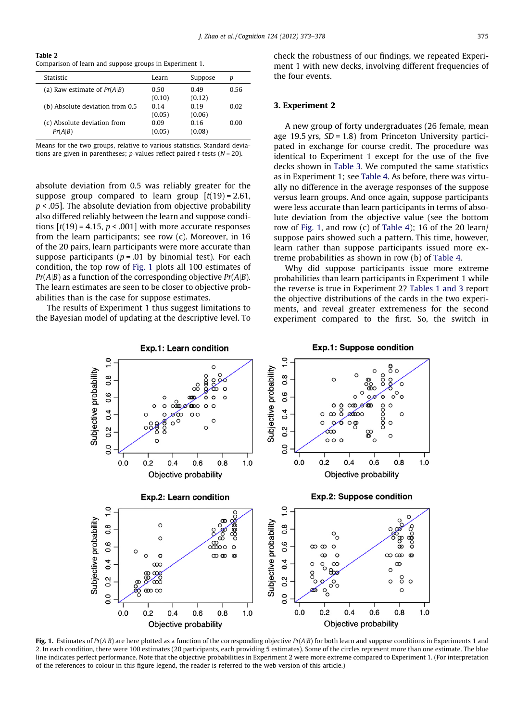<span id="page-2-0"></span>Table 2 Comparison of learn and suppose groups in Experiment 1.

| Statistic                       | Learn  | Suppose | p    |
|---------------------------------|--------|---------|------|
| (a) Raw estimate of $Pr(A B)$   | 0.50   | 0.49    | 0.56 |
|                                 | (0.10) | (0.12)  |      |
| (b) Absolute deviation from 0.5 | 014    | 019     | 0.02 |
|                                 | (0.05) | (0.06)  |      |
| (c) Absolute deviation from     | 0.09   | 0.16    | 0.00 |
| Pr(A B)                         | (0.05) | (0.08)  |      |
|                                 |        |         |      |

Means for the two groups, relative to various statistics. Standard deviations are given in parentheses; *p*-values reflect paired *t*-tests ( $N = 20$ ).

absolute deviation from 0.5 was reliably greater for the suppose group compared to learn group  $[t(19) = 2.61]$ ,  $p <$  05]. The absolute deviation from objective probability also differed reliably between the learn and suppose conditions  $[t(19) = 4.15, p < .001]$  with more accurate responses from the learn participants; see row (c). Moreover, in 16 of the 20 pairs, learn participants were more accurate than suppose participants ( $p = .01$  by binomial test). For each condition, the top row of Fig. 1 plots all 100 estimates of  $Pr(A|B)$  as a function of the corresponding objective  $Pr(A|B)$ . The learn estimates are seen to be closer to objective probabilities than is the case for suppose estimates.

The results of Experiment 1 thus suggest limitations to the Bayesian model of updating at the descriptive level. To check the robustness of our findings, we repeated Experiment 1 with new decks, involving different frequencies of the four events.

## 3. Experiment 2

A new group of forty undergraduates (26 female, mean age 19.5 yrs,  $SD = 1.8$ ) from Princeton University participated in exchange for course credit. The procedure was identical to Experiment 1 except for the use of the five decks shown in [Table 3.](#page-3-0) We computed the same statistics as in Experiment 1; see [Table 4](#page-3-0). As before, there was virtually no difference in the average responses of the suppose versus learn groups. And once again, suppose participants were less accurate than learn participants in terms of absolute deviation from the objective value (see the bottom row of Fig. 1, and row (c) of [Table 4\)](#page-3-0); 16 of the 20 learn/ suppose pairs showed such a pattern. This time, however, learn rather than suppose participants issued more extreme probabilities as shown in row (b) of [Table 4](#page-3-0).

Why did suppose participants issue more extreme probabilities than learn participants in Experiment 1 while the reverse is true in Experiment 2? [Tables 1 and 3](#page-1-0) report the objective distributions of the cards in the two experiments, and reveal greater extremeness for the second experiment compared to the first. So, the switch in



Fig. 1. Estimates of Pr(A|B) are here plotted as a function of the corresponding objective Pr(A|B) for both learn and suppose conditions in Experiments 1 and 2. In each condition, there were 100 estimates (20 participants, each providing 5 estimates). Some of the circles represent more than one estimate. The blue line indicates perfect performance. Note that the objective probabilities in Experiment 2 were more extreme compared to Experiment 1. (For interpretation of the references to colour in this figure legend, the reader is referred to the web version of this article.)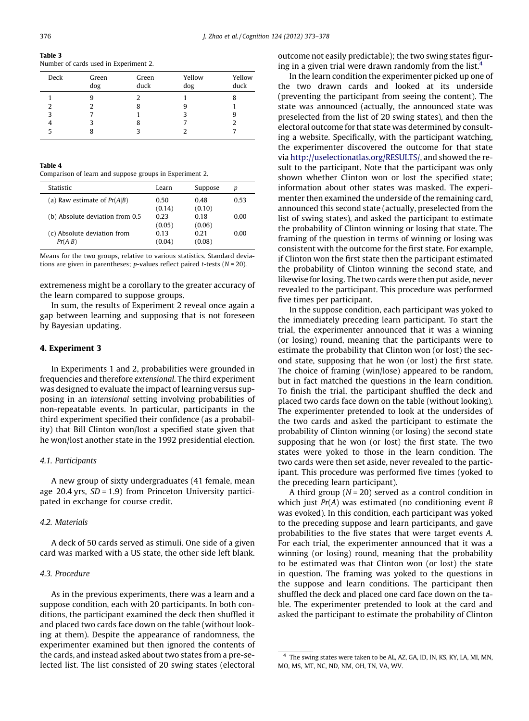<span id="page-3-0"></span>Table 3

| тарк э |  |  |                                       |  |
|--------|--|--|---------------------------------------|--|
|        |  |  | Number of cards used in Experiment 2. |  |

| Deck | Green<br>dog | Green<br>duck | Yellow<br>dog | Yellow<br>duck |
|------|--------------|---------------|---------------|----------------|
| 3    | ч            | 8             | q             | 9              |
|      |              | 8             |               |                |

#### Table 4

Comparison of learn and suppose groups in Experiment 2.

| Statistic                              | Learn          | Suppose        | p    |
|----------------------------------------|----------------|----------------|------|
| (a) Raw estimate of $Pr(A B)$          | 0.50<br>(0.14) | 0.48<br>(0.10) | 0.53 |
| (b) Absolute deviation from 0.5        | 0.23<br>(0.05) | 0.18<br>(0.06) | 0.00 |
| (c) Absolute deviation from<br>Pr(A B) | 0.13<br>(0.04) | 0.21<br>(0.08) | 0.00 |

Means for the two groups, relative to various statistics. Standard deviations are given in parentheses; *p*-values reflect paired *t*-tests ( $N = 20$ ).

extremeness might be a corollary to the greater accuracy of the learn compared to suppose groups.

In sum, the results of Experiment 2 reveal once again a gap between learning and supposing that is not foreseen by Bayesian updating.

## 4. Experiment 3

In Experiments 1 and 2, probabilities were grounded in frequencies and therefore extensional. The third experiment was designed to evaluate the impact of learning versus supposing in an intensional setting involving probabilities of non-repeatable events. In particular, participants in the third experiment specified their confidence (as a probability) that Bill Clinton won/lost a specified state given that he won/lost another state in the 1992 presidential election.

#### 4.1. Participants

A new group of sixty undergraduates (41 female, mean age 20.4 yrs,  $SD = 1.9$ ) from Princeton University participated in exchange for course credit.

## 4.2. Materials

A deck of 50 cards served as stimuli. One side of a given card was marked with a US state, the other side left blank.

#### 4.3. Procedure

As in the previous experiments, there was a learn and a suppose condition, each with 20 participants. In both conditions, the participant examined the deck then shuffled it and placed two cards face down on the table (without looking at them). Despite the appearance of randomness, the experimenter examined but then ignored the contents of the cards, and instead asked about two states from a pre-selected list. The list consisted of 20 swing states (electoral

outcome not easily predictable); the two swing states figuring in a given trial were drawn randomly from the list.<sup>4</sup>

In the learn condition the experimenter picked up one of the two drawn cards and looked at its underside (preventing the participant from seeing the content). The state was announced (actually, the announced state was preselected from the list of 20 swing states), and then the electoral outcome for that state was determined by consulting a website. Specifically, with the participant watching, the experimenter discovered the outcome for that state via [http://uselectionatlas.org/RESULTS/,](http://uselectionatlas.org/RESULTS/) and showed the result to the participant. Note that the participant was only shown whether Clinton won or lost the specified state; information about other states was masked. The experimenter then examined the underside of the remaining card, announced this second state (actually, preselected from the list of swing states), and asked the participant to estimate the probability of Clinton winning or losing that state. The framing of the question in terms of winning or losing was consistent with the outcome for the first state. For example, if Clinton won the first state then the participant estimated the probability of Clinton winning the second state, and likewise for losing. The two cards were then put aside, never revealed to the participant. This procedure was performed five times per participant.

In the suppose condition, each participant was yoked to the immediately preceding learn participant. To start the trial, the experimenter announced that it was a winning (or losing) round, meaning that the participants were to estimate the probability that Clinton won (or lost) the second state, supposing that he won (or lost) the first state. The choice of framing (win/lose) appeared to be random, but in fact matched the questions in the learn condition. To finish the trial, the participant shuffled the deck and placed two cards face down on the table (without looking). The experimenter pretended to look at the undersides of the two cards and asked the participant to estimate the probability of Clinton winning (or losing) the second state supposing that he won (or lost) the first state. The two states were yoked to those in the learn condition. The two cards were then set aside, never revealed to the participant. This procedure was performed five times (yoked to the preceding learn participant).

A third group ( $N = 20$ ) served as a control condition in which just  $Pr(A)$  was estimated (no conditioning event B was evoked). In this condition, each participant was yoked to the preceding suppose and learn participants, and gave probabilities to the five states that were target events A. For each trial, the experimenter announced that it was a winning (or losing) round, meaning that the probability to be estimated was that Clinton won (or lost) the state in question. The framing was yoked to the questions in the suppose and learn conditions. The participant then shuffled the deck and placed one card face down on the table. The experimenter pretended to look at the card and asked the participant to estimate the probability of Clinton

<sup>4</sup> The swing states were taken to be AL, AZ, GA, ID, IN, KS, KY, LA, MI, MN, MO, MS, MT, NC, ND, NM, OH, TN, VA, WV.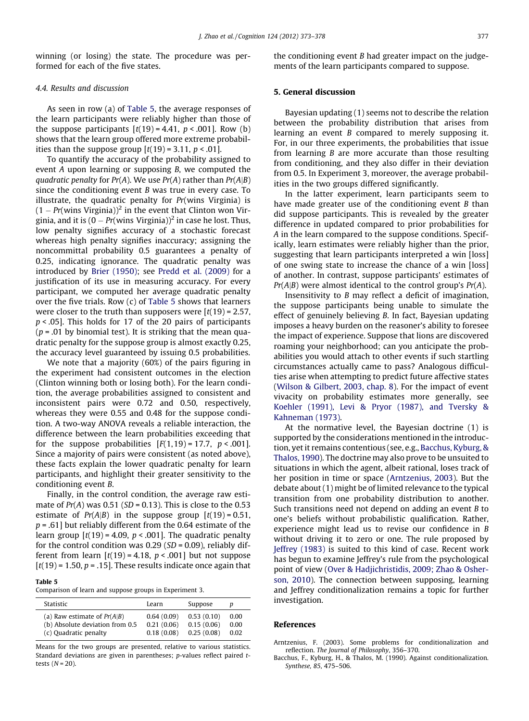winning (or losing) the state. The procedure was performed for each of the five states.

## 4.4. Results and discussion

As seen in row (a) of Table 5, the average responses of the learn participants were reliably higher than those of the suppose participants  $[t(19) = 4.41, p < .001]$ . Row (b) shows that the learn group offered more extreme probabilities than the suppose group  $[t(19) = 3.11, p < .01]$ .

To quantify the accuracy of the probability assigned to event A upon learning or supposing B, we computed the quadratic penalty for  $Pr(A)$ . We use  $Pr(A)$  rather than  $Pr(A|B)$ since the conditioning event B was true in every case. To illustrate, the quadratic penalty for Pr(wins Virginia) is  $(1 - Pr(wins Virginia))^2$  in the event that Clinton won Virginia, and it is  $(0 - Pr(wins Virginia))^2$  in case he lost. Thus, low penalty signifies accuracy of a stochastic forecast whereas high penalty signifies inaccuracy; assigning the noncommittal probability 0.5 guarantees a penalty of 0.25, indicating ignorance. The quadratic penalty was introduced by [Brier \(1950\);](#page-5-0) see [Predd et al. \(2009\)](#page-5-0) for a justification of its use in measuring accuracy. For every participant, we computed her average quadratic penalty over the five trials. Row (c) of Table 5 shows that learners were closer to the truth than supposers were  $[t(19) = 2.57]$ ,  $p < .05$ ]. This holds for 17 of the 20 pairs of participants  $(p = .01$  by binomial test). It is striking that the mean quadratic penalty for the suppose group is almost exactly 0.25, the accuracy level guaranteed by issuing 0.5 probabilities.

We note that a majority (60%) of the pairs figuring in the experiment had consistent outcomes in the election (Clinton winning both or losing both). For the learn condition, the average probabilities assigned to consistent and inconsistent pairs were 0.72 and 0.50, respectively, whereas they were 0.55 and 0.48 for the suppose condition. A two-way ANOVA reveals a reliable interaction, the difference between the learn probabilities exceeding that for the suppose probabilities  $[F(1,19) = 17.7, p < .001]$ . Since a majority of pairs were consistent (as noted above), these facts explain the lower quadratic penalty for learn participants, and highlight their greater sensitivity to the conditioning event B.

Finally, in the control condition, the average raw estimate of  $Pr(A)$  was 0.51 (SD = 0.13). This is close to the 0.53 estimate of  $Pr(A|B)$  in the suppose group  $[t(19) = 0.51]$ ,  $p = .61$ ] but reliably different from the 0.64 estimate of the learn group  $[t(19) = 4.09, p < .001]$ . The quadratic penalty for the control condition was  $0.29$  (SD = 0.09), reliably different from learn  $[t(19) = 4.18, p < .001]$  but not suppose  $[t(19) = 1.50, p = .15]$ . These results indicate once again that

## Table 5

Comparison of learn and suppose groups in Experiment 3.

| <b>Statistic</b>                | Learn      | Suppose    | D    |
|---------------------------------|------------|------------|------|
| (a) Raw estimate of $Pr(A B)$   | 0.64(0.09) | 0.53(0.10) | 0.00 |
| (b) Absolute deviation from 0.5 | 0.21(0.06) | 0.15(0.06) | 0.00 |
| (c) Quadratic penalty           | 0.18(0.08) | 0.25(0.08) | 0.02 |

Means for the two groups are presented, relative to various statistics. Standard deviations are given in parentheses; p-values reflect paired ttests  $(N = 20)$ .

the conditioning event B had greater impact on the judgements of the learn participants compared to suppose.

## 5. General discussion

Bayesian updating (1) seems not to describe the relation between the probability distribution that arises from learning an event B compared to merely supposing it. For, in our three experiments, the probabilities that issue from learning B are more accurate than those resulting from conditioning, and they also differ in their deviation from 0.5. In Experiment 3, moreover, the average probabilities in the two groups differed significantly.

In the latter experiment, learn participants seem to have made greater use of the conditioning event  $B$  than did suppose participants. This is revealed by the greater difference in updated compared to prior probabilities for A in the learn compared to the suppose conditions. Specifically, learn estimates were reliably higher than the prior, suggesting that learn participants interpreted a win [loss] of one swing state to increase the chance of a win [loss] of another. In contrast, suppose participants' estimates of  $Pr(A|B)$  were almost identical to the control group's  $Pr(A)$ .

Insensitivity to B may reflect a deficit of imagination, the suppose participants being unable to simulate the effect of genuinely believing B. In fact, Bayesian updating imposes a heavy burden on the reasoner's ability to foresee the impact of experience. Suppose that lions are discovered roaming your neighborhood; can you anticipate the probabilities you would attach to other events if such startling circumstances actually came to pass? Analogous difficulties arise when attempting to predict future affective states [\(Wilson & Gilbert, 2003, chap. 8](#page-5-0)). For the impact of event vivacity on probability estimates more generally, see [Koehler \(1991\), Levi & Pryor \(1987\), and Tversky &](#page-5-0) [Kahneman \(1973\)](#page-5-0).

At the normative level, the Bayesian doctrine (1) is supported by the considerations mentioned in the introduction, yet it remains contentious (see, e.g., Bacchus, Kyburg, & Thalos, 1990). The doctrine may also prove to be unsuited to situations in which the agent, albeit rational, loses track of her position in time or space (Arntzenius, 2003). But the debate about (1) might be of limited relevance to the typical transition from one probability distribution to another. Such transitions need not depend on adding an event B to one's beliefs without probabilistic qualification. Rather, experience might lead us to revise our confidence in B without driving it to zero or one. The rule proposed by [Jeffrey \(1983\)](#page-5-0) is suited to this kind of case. Recent work has begun to examine Jeffrey's rule from the psychological point of view [\(Over & Hadjichristidis, 2009; Zhao & Osher](#page-5-0)[son, 2010\)](#page-5-0). The connection between supposing, learning and Jeffrey conditionalization remains a topic for further investigation.

#### References

Arntzenius, F. (2003). Some problems for conditionalization and reflection. The Journal of Philosophy, 356–370.

Bacchus, F., Kyburg, H., & Thalos, M. (1990). Against conditionalization. Synthese, 85, 475–506.